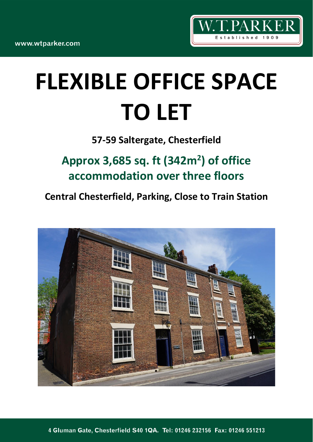

# **FLEXIBLE OFFICE SPACE TO LET**

**57-59 Saltergate, Chesterfield**

**Approx 3,685 sq. ft (342m<sup>2</sup> ) of office accommodation over three floors**

**Central Chesterfield, Parking, Close to Train Station**

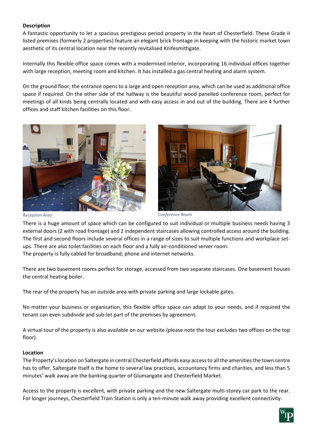# **Description**

A fantastic opportunity to let a spacious prestigious period property in the heart of Chesterfield. These Grade II listed premises (formerly 2 properties) feature an elegant brick frontage in keeping with the historic market town aesthetic of its central location near the recently revitalised Knifesmithgate.

Internally this flexible office space comes with a modernised interior, incorporating 16 individual offices together with large reception, meeting room and kitchen. It has installed a gas central heating and alarm system.

On the ground floor, the entrance opens to a large and open reception area, which can be used as additional office space if required. On the other side of the hallway is the beautiful wood panelled conference room, perfect for meetings of all kinds being centrally located and with easy access in and out of the building. There are 4 further offices and staff kitchen facilities on this floor.





*Reception Area Conference Room*

There is a huge amount of space which can be configured to suit individual or multiple business needs having 3 external doors (2 with road frontage) and 2 independent staircases allowing controlled access around the building. The first and second floors include several offices in a range of sizes to suit multiple functions and workplace setups. There are also toilet facilities on each floor and a fully air-conditioned server room. The property is fully cabled for broadband, phone and internet networks.

There are two basement rooms perfect for storage, accessed from two separate staircases. One basement houses the central heating boiler.

The rear of the property has an outside area with private parking and large lockable gates.

No matter your business or organisation, this flexible office space can adapt to your needs, and if required the tenant can even subdivide and sub-let part of the premises by agreement.

A virtual tour of the property is also available on our website (please note the tour excludes two offices on the top floor).

# **Location**

The Property's location on Saltergate in central Chesterfield affords easy access to all the amenities the town centre has to offer. Saltergate itself is the home to several law practices, accountancy firms and charities, and less than 5 minutes' walk away are the banking quarter of Glumangate and Chesterfield Market.

Access to the property is excellent, with private parking and the new Saltergate multi-storey car park to the rear. For longer journeys, Chesterfield Train Station is only a ten-minute walk away providing excellent connectivity.